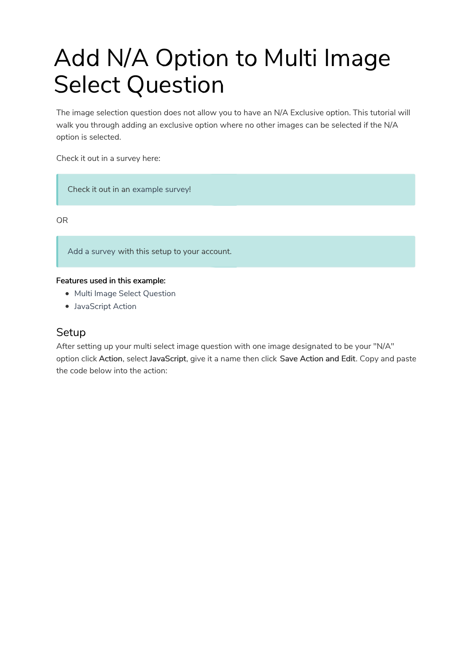# Add N/A Option to Multi Image Select Question

The image selection question does not allow you to have an N/A Exclusive option. This tutorial will walk you through adding an exclusive option where no other images can be selected if the N/A option is selected.

Check it out in a survey here:

Check it out in an example survey!

OR

Add a survey with this setup to your account.

#### Features used in this example:

- Multi Image Select Question
- JavaScript Action

### **Setup**

After setting up your multi select image question with one image designated to be your "N/A" option click Action, select JavaScript, give it a name then click Save Action and Edit. Copy and paste the code below into the action: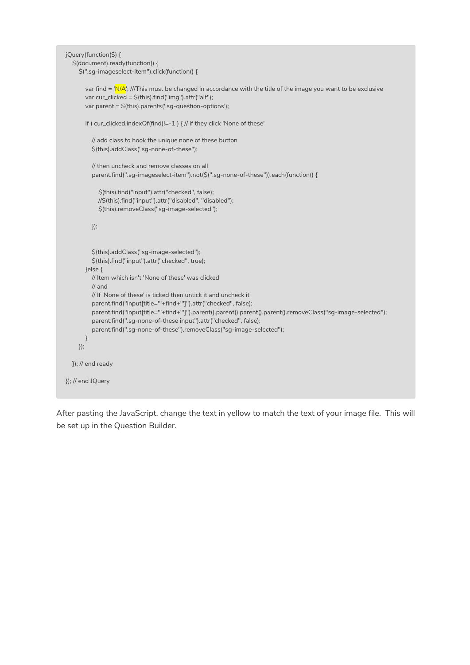```
jQuery(function($) {
  $(document).ready(function() {
     $(".sg-imageselect-item").click(function() {
       var find = 'N/A'; ///This must be changed in accordance with the title of the image you want to be exclusive
       var cur_clicked = $(this).find("img").attr("alt");
       var parent = $(this).parents('.sg-question-options');
       if ( cur_clicked.indexOf(find)!=-1 ) { // if they click 'None of these'
         // add class to hook the unique none of these button
         $(this).addClass("sg-none-of-these");
         // then uncheck and remove classes on all
         parent.find(".sg-imageselect-item").not($(".sg-none-of-these")).each(function() {
            $(this).find("input").attr("checked", false);
            //$(this).find("input").attr("disabled", "disabled");
            $(this).removeClass("sg-image-selected");
         });
         $(this).addClass("sg-image-selected");
          $(this).find("input").attr("checked", true);
       }else {
         // Item which isn't 'None of these' was clicked
         // and
         // If 'None of these' is ticked then untick it and uncheck it
         parent.find("input[title='"+find+"']").attr("checked", false);
         parent.find("input[title=""+find+""]").parent().parent().parent().parent().removeClass("sg-image-selected");
         parent.find(".sg-none-of-these input").attr("checked", false);
         parent.find(".sg-none-of-these").removeClass("sg-image-selected");
       }
     });
  }); // end ready
}); // end JQuery
```
After pasting the JavaScript, change the text in yellow to match the text of your image file. This will be set up in the Question Builder.